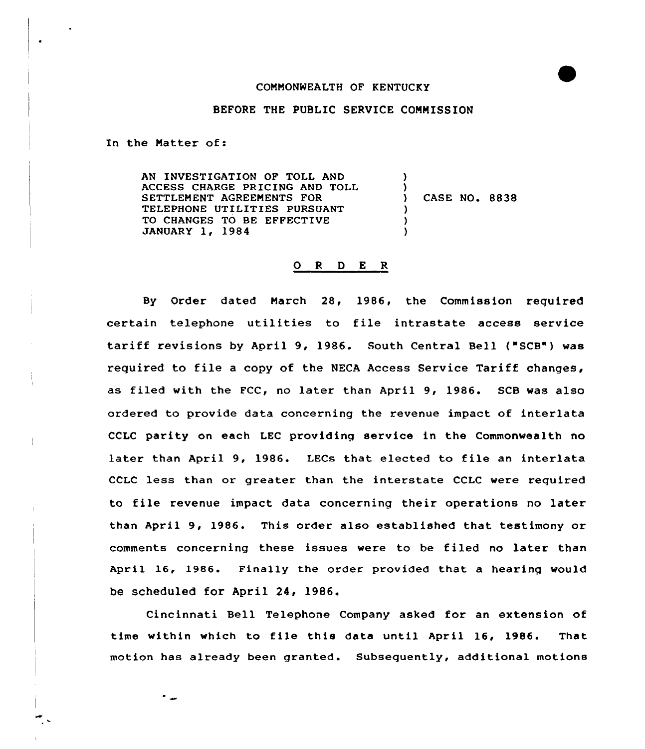## COMMONWEALTH OF KENTUCKY

## BEFORE THE PUBLIC SERVICE COMMISSION

In the Natter of:

AN INVESTIGATION OF TOLL AND ACCESS CHARGE PRICING AND TOLL SETTLEMENT AGREENENTS FOR TELEPHONE UTILITIES PURSUANT TO CHANGES TO BE EFFECTIVE JANUARY 1, 1984 ) ) ) CASE NO. 8838 ) ) )

## <sup>O</sup> R 0 E R

By Order dated March 28, 1986, the Commission required certain telephone utilities to file intxastate access service tariff revisions by April 9, 1986. South Central Bell ("SCB") was xequired to file <sup>a</sup> copy of the NECA Access Sexvice Tariff changes, as filed with the FCC, no later than April 9, 1986. SCB was also ordered to provide data concerning the revenue impact of interlata CCLC parity on each LEC providinq service in the Commonwealth no later than April 9, 1986. LECs that elected to file an interlata CCLC less than or greater than the interstate CCLC were required to file revenue impact data concerning their operations no later than April 9, 1986. This order also established that testimony or comments concerning these issues were to be filed no later than April 16, 1986. Finally the order provided that a hearing would be scheduled for April 24, 1986.

Cincinnati Bell Telephone Company asked fox an extension of time within which to file this data until April 16, 1986. That motion has already been granted. Subsequently, additional motions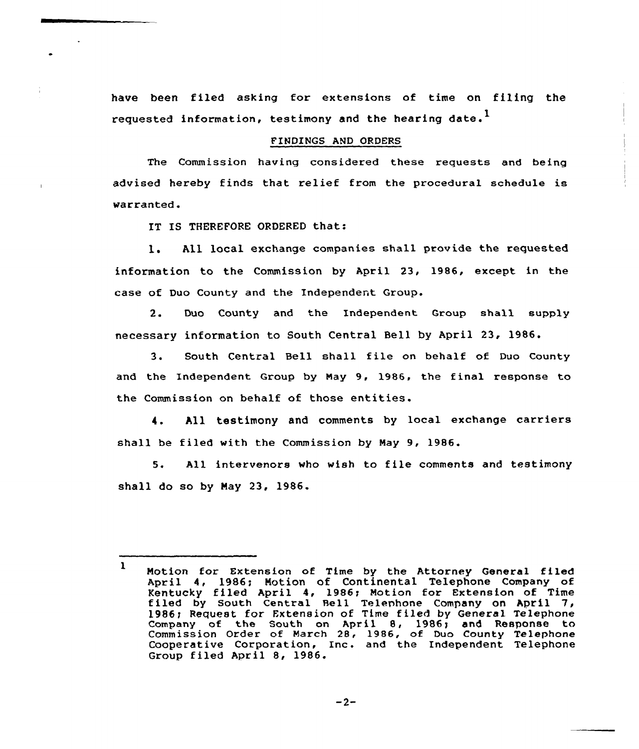have been filed asking for extensions of time on filing the requested information, testimony and the hearing date.<sup>1</sup>

## FINDINGS AND ORDERS

The Commission having considered these requests and being advised hereby finds that relief from the procedural schedule is warranted.

IT IS THEREFORE ORDERED that:

l. All local exchange companies shall provide the requested information to the Commission by April 23, 1986, except in the case of Duo County and the Independent Group.

2. Duo County and the Independent Group shall supply necessary information to South Central Bell by April 23, 1986.

3. South Central Bell shall file on behalf of Duo County and the Independent Group by May 9, 1986, the final response to the Commission on behalf of those entities.

4. All testimony and comments by local exchange carriers shall be filed with the Commission by Nay 9, 1986.

5. All intervenors who wish to file comments and testimony shall do so by Nay 23, 1986.

 $-2-$ 

<sup>1</sup> Notion for Extension of Time by the Attorney General filed April 4, 1986; Motion of Continental Telephone Company of Kentucky filed April 4, 1986; Motion for Extension of Time filed by South Central Bell Telephone Company on April 7, 1986; Request for Extension of Time filed by General Telephon company of the South on April 8, 1986; and Response to Commission Order of March 28, 1986, of Duo County Telephone Commission official contracts for 1980, of 500 County refephone Group filed April 8, 1986.